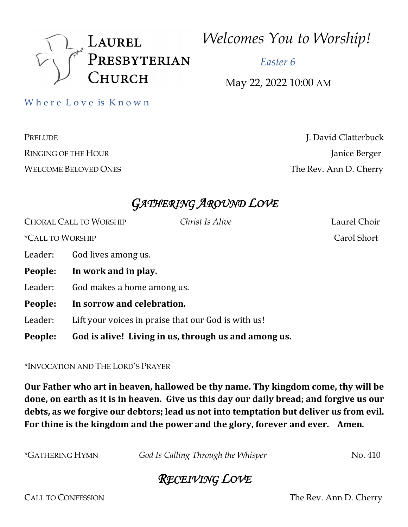

*Welcomes You to Worship!*

 *Easter 6*

May 22, 2022 10:00 AM

Where Love is Known

PRELUDE J. David Clatterbuck RINGING OF THE HOUR Janice Berger WELCOME BELOVED ONES The Rev. Ann D. Cherry

## *GATHERING AROUND LOVE*

CHORAL CALL TO WORSHIP *Christ Is Alive* Laurel Choir \*CALL TO WORSHIP Carol Short Leader: God lives among us. People: In work and in play. Leader: God makes a home among us. People: In sorrow and celebration. Leader: Lift your voices in praise that our God is with us! **People:** God is alive! Living in us, through us and among us.

\*INVOCATION AND THE LORD'S PRAYER

**Our Father who art in heaven, hallowed be thy name. Thy kingdom come, thy will be** done, on earth as it is in heaven. Give us this day our daily bread; and forgive us our debts, as we forgive our debtors; lead us not into temptation but deliver us from evil. For thine is the kingdom and the power and the glory, forever and ever. Amen.

| God Is Calling Through the Whisper | No. 410 |
|------------------------------------|---------|
|                                    |         |

# *RECEIVING LOVE*

CALL TO CONFESSION The Rev. Ann D. Cherry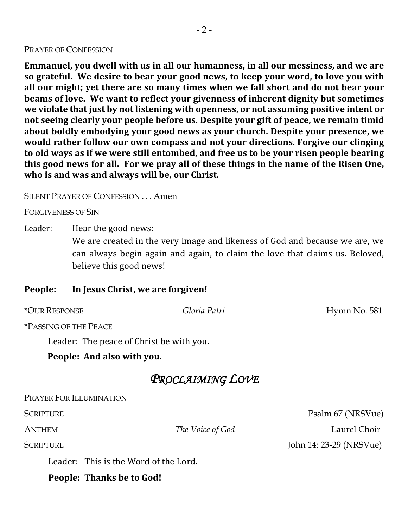#### PRAYER OF CONFESSION

**Emmanuel, you dwell with us in all our humanness, in all our messiness, and we are so grateful.** We desire to bear your good news, to keep your word, to love you with all our might; yet there are so many times when we fall short and do not bear your **beams of love.** We want to reflect your givenness of inherent dignity but sometimes we violate that just by not listening with openness, or not assuming positive intent or not seeing clearly your people before us. Despite your gift of peace, we remain timid about boldly embodying your good news as your church. Despite your presence, we would rather follow our own compass and not your directions. Forgive our clinging to old ways as if we were still entombed, and free us to be your risen people bearing this good news for all. For we pray all of these things in the name of the Risen One, who is and was and always will be, our Christ.

SILENT PRAYER OF CONFESSION . . . Amen

FORGIVENESS OF SIN

Leader: Hear the good news:

We are created in the very image and likeness of God and because we are, we can always begin again and again, to claim the love that claims us. Beloved, believe this good news!

#### People: In Jesus Christ, we are forgiven!

\*OUR RESPONSE *Gloria Patri* Hymn No. 581

\*PASSING OF THE PEACE

Leader: The peace of Christ be with you.

People: And also with you.

### *PROCLAIMING LOVE*

PRAYER FOR ILLUMINATION

Leader: This is the Word of the Lord.

People: Thanks be to God!

SCRIPTURE Psalm 67 (NRSVue) ANTHEM *The Voice of God* Laurel Choir SCRIPTURE John 14: 23-29 (NRSVue)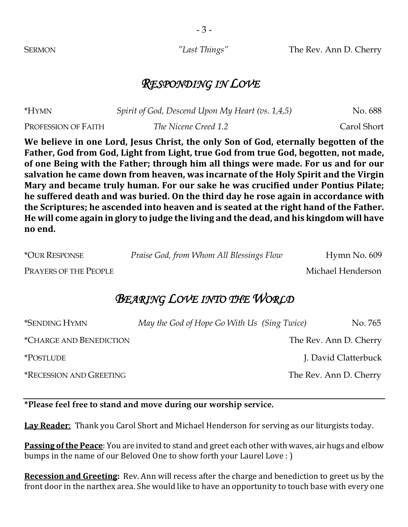- 3 -

SERMON *"Last Things"* The Rev. Ann D. Cherry

### *RESPONDING IN LOVE*

| *HYMN               | Spirit of God, Descend Upon My Heart (vs. 1,4,5) | No. 688     |
|---------------------|--------------------------------------------------|-------------|
| PROFESSION OF FAITH | The Nicene Creed 1.2                             | Carol Short |

We believe in one Lord, Jesus Christ, the only Son of God, eternally begotten of the Father, God from God, Light from Light, true God from true God, begotten, not made, of one Being with the Father; through him all things were made. For us and for our salvation he came down from heaven, was incarnate of the Holy Spirit and the Virgin Mary and became truly human. For our sake he was crucified under Pontius Pilate; he suffered death and was buried. On the third day he rose again in accordance with the Scriptures; he ascended into heaven and is seated at the right hand of the Father. He will come again in glory to judge the living and the dead, and his kingdom will have no end.

\*OUR RESPONSE *Praise God, from Whom All Blessings Flow* Hymn No. 609

PRAYERS OF THE PEOPLE THE MICHAEL MICHAEL MICHAEL MICHAEL MICHAEL MICHAEL MICHAEL MICHAEL MICHAEL MICHAEL MICHAEL MICHAEL MICHAEL MICHAEL MICHAEL MICHAEL MICHAEL MICHAEL MICHAEL MICHAEL MICHAEL MICHAEL MICHAEL MICHAEL MICH

## *BEARING LOVE INTO THE WORLD*

| <i><b>*SENDING HYMN</b></i>           | May the God of Hope Go With Us (Sing Twice) | No. 765                |
|---------------------------------------|---------------------------------------------|------------------------|
| <i><b>*CHARGE AND BENEDICTION</b></i> |                                             | The Rev. Ann D. Cherry |
| <i><b>*POSTLUDE</b></i>               |                                             | J. David Clatterbuck   |
| <b>*RECESSION AND GREETING</b>        |                                             | The Rev. Ann D. Cherry |

### **\*Please feel free to stand and move during our worship service.**

**Lay Reader**: Thank you Carol Short and Michael Henderson for serving as our liturgists today.

**Passing of the Peace**: You are invited to stand and greet each other with waves, air hugs and elbow bumps in the name of our Beloved One to show forth your Laurel Love : )

**Recession and Greeting:** Rev. Ann will recess after the charge and benediction to greet us by the front door in the narthex area. She would like to have an opportunity to touch base with every one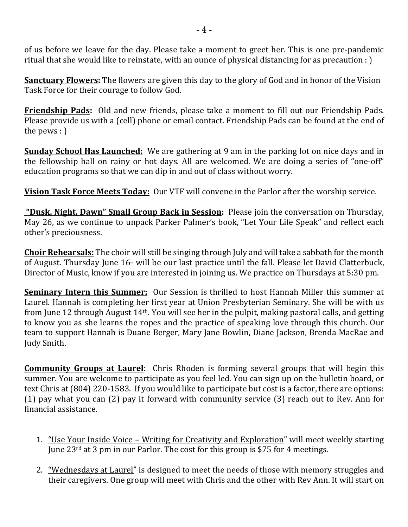of us before we leave for the day. Please take a moment to greet her. This is one pre-pandemic ritual that she would like to reinstate, with an ounce of physical distancing for as precaution :  $\cdot$ 

**Sanctuary Flowers:** The flowers are given this day to the glory of God and in honor of the Vision Task Force for their courage to follow God.

**Friendship Pads:** Old and new friends, please take a moment to fill out our Friendship Pads. Please provide us with a (cell) phone or email contact. Friendship Pads can be found at the end of the pews  $:$   $\big)$ 

**Sunday School Has Launched:** We are gathering at 9 am in the parking lot on nice days and in the fellowship hall on rainy or hot days. All are welcomed. We are doing a series of "one-off" education programs so that we can dip in and out of class without worry.

**Vision Task Force Meets Today:** Our VTF will convene in the Parlor after the worship service.

**"Dusk, Night, Dawn" Small Group Back in Session:** Please join the conversation on Thursday, May 26, as we continue to unpack Parker Palmer's book, "Let Your Life Speak" and reflect each other's preciousness.

**Choir Rehearsals:** The choir will still be singing through July and will take a sabbath for the month of August. Thursday June 16<sup>th</sup> will be our last practice until the fall. Please let David Clatterbuck, Director of Music, know if you are interested in joining us. We practice on Thursdays at 5:30 pm.

**Seminary Intern this Summer:** Our Session is thrilled to host Hannah Miller this summer at Laurel. Hannah is completing her first year at Union Presbyterian Seminary. She will be with us from June 12 through August  $14<sup>th</sup>$ . You will see her in the pulpit, making pastoral calls, and getting to know you as she learns the ropes and the practice of speaking love through this church. Our team to support Hannah is Duane Berger, Mary Jane Bowlin, Diane Jackson, Brenda MacRae and Judy Smith.

**Community Groups at Laurel**: Chris Rhoden is forming several groups that will begin this summer. You are welcome to participate as you feel led. You can sign up on the bulletin board, or text Chris at (804) 220-1583. If you would like to participate but cost is a factor, there are options: (1) pay what you can  $(2)$  pay it forward with community service  $(3)$  reach out to Rev. Ann for financial assistance.

- 1. "Use Your Inside Voice Writing for Creativity and Exploration" will meet weekly starting June  $23^{\text{rd}}$  at 3 pm in our Parlor. The cost for this group is \$75 for 4 meetings.
- 2. "Wednesdays at Laurel" is designed to meet the needs of those with memory struggles and their caregivers. One group will meet with Chris and the other with Rev Ann. It will start on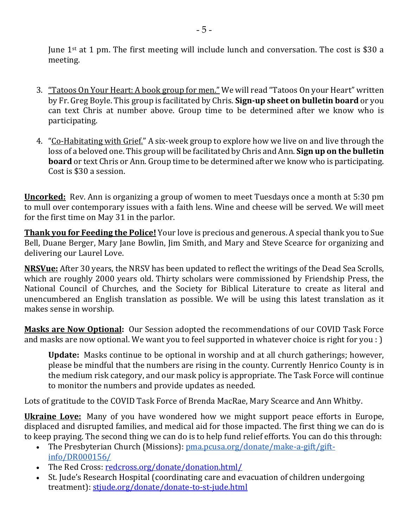June  $1^{st}$  at 1 pm. The first meeting will include lunch and conversation. The cost is \$30 a meeting. 

- 3. <u>"Tatoos On Your Heart: A book group for men."</u> We will read "Tatoos On your Heart" written by Fr. Greg Boyle. This group is facilitated by Chris. **Sign-up sheet on bulletin board** or you can text Chris at number above. Group time to be determined after we know who is participating.
- 4. "Co-Habitating with Grief." A six-week group to explore how we live on and live through the loss of a beloved one. This group will be facilitated by Chris and Ann. **Sign up on the bulletin board** or text Chris or Ann. Group time to be determined after we know who is participating. Cost is \$30 a session.

**<u>Uncorked:</u>** Rev. Ann is organizing a group of women to meet Tuesdays once a month at 5:30 pm to mull over contemporary issues with a faith lens. Wine and cheese will be served. We will meet for the first time on May 31 in the parlor.

**Thank you for Feeding the Police!** Your love is precious and generous. A special thank you to Sue Bell, Duane Berger, Mary Jane Bowlin, Jim Smith, and Mary and Steve Scearce for organizing and delivering our Laurel Love.

**NRSVue:** After 30 years, the NRSV has been updated to reflect the writings of the Dead Sea Scrolls, which are roughly 2000 years old. Thirty scholars were commissioned by Friendship Press, the National Council of Churches, and the Society for Biblical Literature to create as literal and unencumbered an English translation as possible. We will be using this latest translation as it makes sense in worship.

**Masks are Now Optional:** Our Session adopted the recommendations of our COVID Task Force and masks are now optional. We want you to feel supported in whatever choice is right for you :  $\cdot$ 

**Update:** Masks continue to be optional in worship and at all church gatherings; however, please be mindful that the numbers are rising in the county. Currently Henrico County is in the medium risk category, and our mask policy is appropriate. The Task Force will continue to monitor the numbers and provide updates as needed.

Lots of gratitude to the COVID Task Force of Brenda MacRae, Mary Scearce and Ann Whitby.

**Ukraine Love:** Many of you have wondered how we might support peace efforts in Europe, displaced and disrupted families, and medical aid for those impacted. The first thing we can do is to keep praying. The second thing we can do is to help fund relief efforts. You can do this through:

- The Presbyterian Church (Missions):  $p_{\text{ma},\text{DC}}$ usa.org/donate/make-a-gift/giftinfo/DR000156/
- The Red Cross: redcross.org/donate/donation.html/
- St. Jude's Research Hospital (coordinating care and evacuation of children undergoing treatment): stjude.org/donate/donate-to-st-jude.html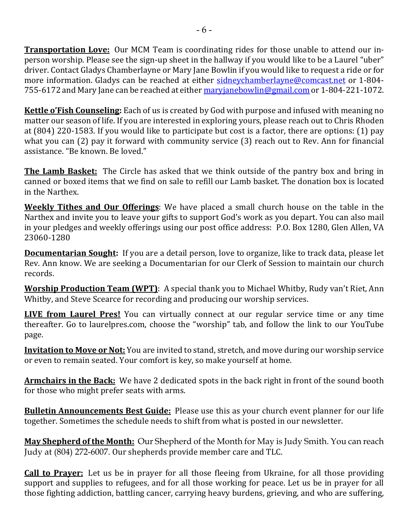**Transportation Love:** Our MCM Team is coordinating rides for those unable to attend our inperson worship. Please see the sign-up sheet in the hallway if you would like to be a Laurel "uber" driver. Contact Gladys Chamberlayne or Mary Jane Bowlin if you would like to request a ride or for more information. Gladys can be reached at either sidneychamberlayne@comcast.net or 1-804-755-6172 and Mary Jane can be reached at either maryjanebowlin@gmail.com or 1-804-221-1072.

**Kettle o'Fish Counseling:** Each of us is created by God with purpose and infused with meaning no matter our season of life. If you are interested in exploring yours, please reach out to Chris Rhoden at (804) 220-1583. If you would like to participate but cost is a factor, there are options: (1) pay what you can  $(2)$  pay it forward with community service  $(3)$  reach out to Rev. Ann for financial assistance. "Be known. Be loved."

**The Lamb Basket:** The Circle has asked that we think outside of the pantry box and bring in canned or boxed items that we find on sale to refill our Lamb basket. The donation box is located in the Narthex.

**Weekly Tithes and Our Offerings**: We have placed a small church house on the table in the Narthex and invite you to leave your gifts to support God's work as you depart. You can also mail in your pledges and weekly offerings using our post office address: P.O. Box 1280, Glen Allen, VA 23060-1280

**Documentarian Sought:** If you are a detail person, love to organize, like to track data, please let Rev. Ann know. We are seeking a Documentarian for our Clerk of Session to maintain our church records. 

**Worship Production Team (WPT)**: A special thank you to Michael Whitby, Rudy van't Riet, Ann Whitby, and Steve Scearce for recording and producing our worship services.

**LIVE from Laurel Pres!** You can virtually connect at our regular service time or any time thereafter. Go to laurelpres.com, choose the "worship" tab, and follow the link to our YouTube page.

**Invitation to Move or Not:** You are invited to stand, stretch, and move during our worship service or even to remain seated. Your comfort is key, so make yourself at home.

**Armchairs in the Back:** We have 2 dedicated spots in the back right in front of the sound booth for those who might prefer seats with arms.

**Bulletin Announcements Best Guide:** Please use this as your church event planner for our life together. Sometimes the schedule needs to shift from what is posted in our newsletter.

**May Shepherd of the Month:** Our Shepherd of the Month for May is Judy Smith. You can reach Judy at (804) 272-6007. Our shepherds provide member care and TLC.

**Call to Prayer:** Let us be in prayer for all those fleeing from Ukraine, for all those providing support and supplies to refugees, and for all those working for peace. Let us be in prayer for all those fighting addiction, battling cancer, carrying heavy burdens, grieving, and who are suffering,